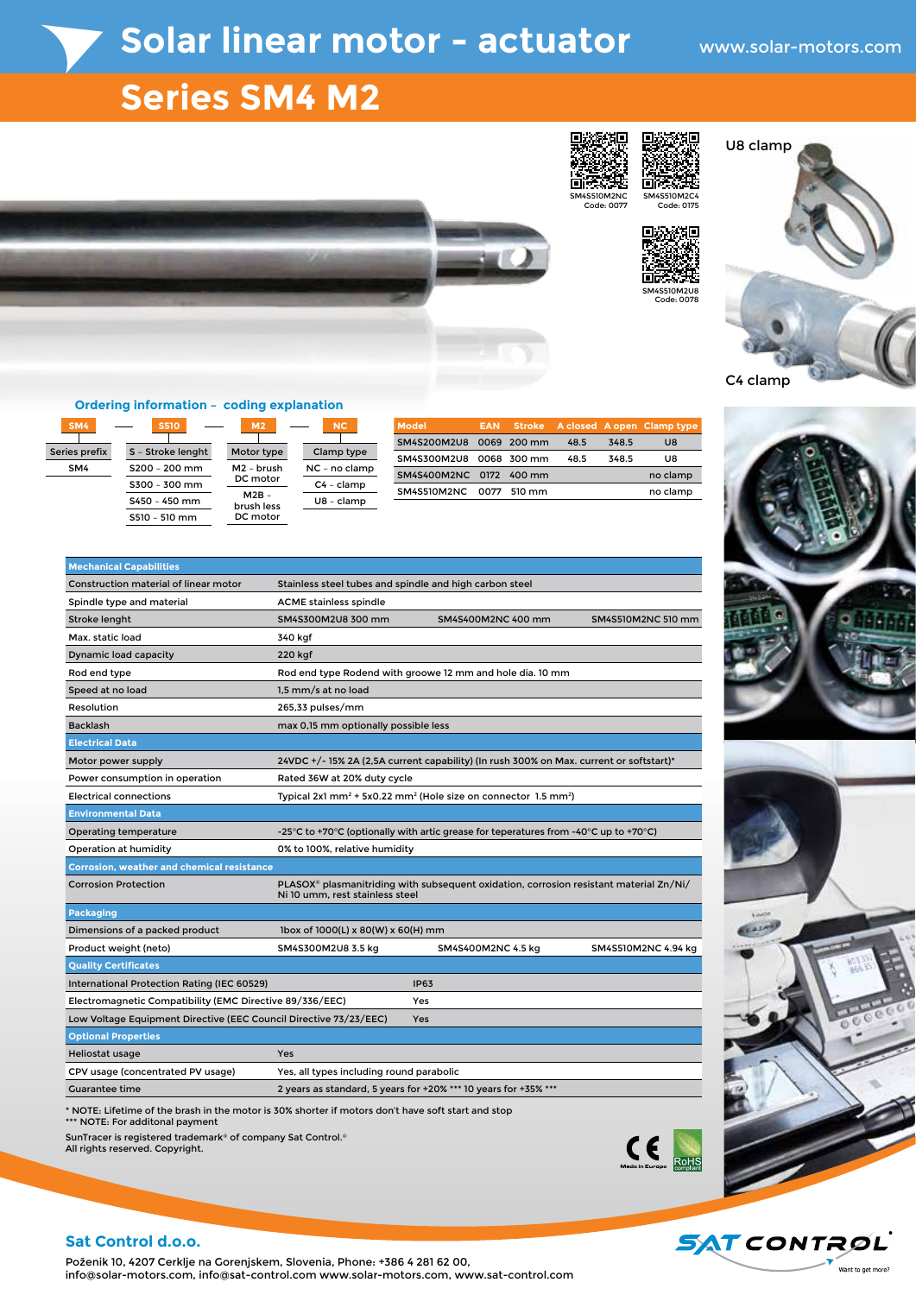# Solar linear motor - actuator www.solar-motors.com

## **Series SM4 M2**

SM4S510M2NC Code: 0077



п. п.





#### **Ordering information – coding explanation**

Series prefix SM4  $SM4$   $\longrightarrow$   $SS10$   $\longrightarrow$   $M2$   $\longrightarrow$  NC

S – Stroke lenght S200 – 200 mm S300 – 300 mm S450 – 450 mm  $S510 - 510$  mm

| Motor type             | Clamp type   |
|------------------------|--------------|
| M <sub>2</sub> - brush | NC - no clam |
| DC motor               | C4 - clamp   |
| $M2B -$<br>brush less  | U8 - clamp   |
| DC motor               |              |
|                        |              |

amp type no clamp 4 - clamp

| Model'                  |  |      |       | <b>EAN</b> Stroke A closed A open Clamp type |
|-------------------------|--|------|-------|----------------------------------------------|
| SM4S200M2U8 0069 200 mm |  | 48.5 | 348.5 | U8                                           |
| SM4S300M2U8 0068 300 mm |  | 48.5 | 348.5 | UЯ                                           |
| SM4S400M2NC 0172 400 mm |  |      |       | no clamp                                     |
| SM4S510M2NC 0077 510 mm |  |      |       | no clamp                                     |
|                         |  |      |       |                                              |

| <b>Mechanical Capabilities</b>                                                    |                                                                                                                                       |                                                                                         |                     |  |  |  |  |
|-----------------------------------------------------------------------------------|---------------------------------------------------------------------------------------------------------------------------------------|-----------------------------------------------------------------------------------------|---------------------|--|--|--|--|
| <b>Construction material of linear motor</b>                                      | Stainless steel tubes and spindle and high carbon steel                                                                               |                                                                                         |                     |  |  |  |  |
| Spindle type and material                                                         | <b>ACME</b> stainless spindle                                                                                                         |                                                                                         |                     |  |  |  |  |
| Stroke lenght                                                                     | SM4S300M2U8 300 mm                                                                                                                    | SM4S400M2NC 400 mm                                                                      | SM4S510M2NC 510 mm  |  |  |  |  |
| Max. static load                                                                  | 340 kgf                                                                                                                               |                                                                                         |                     |  |  |  |  |
| Dynamic load capacity                                                             | 220 kgf                                                                                                                               |                                                                                         |                     |  |  |  |  |
| Rod end type                                                                      | Rod end type Rodend with groowe 12 mm and hole dia. 10 mm                                                                             |                                                                                         |                     |  |  |  |  |
| Speed at no load                                                                  | 1,5 mm/s at no load                                                                                                                   |                                                                                         |                     |  |  |  |  |
| Resolution                                                                        | 265,33 pulses/mm                                                                                                                      |                                                                                         |                     |  |  |  |  |
| <b>Backlash</b>                                                                   | max 0,15 mm optionally possible less                                                                                                  |                                                                                         |                     |  |  |  |  |
| <b>Electrical Data</b>                                                            |                                                                                                                                       |                                                                                         |                     |  |  |  |  |
| Motor power supply                                                                |                                                                                                                                       | 24VDC +/- 15% 2A (2,5A current capability) (In rush 300% on Max. current or softstart)* |                     |  |  |  |  |
| Power consumption in operation                                                    | Rated 36W at 20% duty cycle                                                                                                           |                                                                                         |                     |  |  |  |  |
| <b>Electrical connections</b>                                                     | Typical 2x1 mm <sup>2</sup> + 5x0.22 mm <sup>2</sup> (Hole size on connector 1.5 mm <sup>2</sup> )                                    |                                                                                         |                     |  |  |  |  |
| <b>Environmental Data</b>                                                         |                                                                                                                                       |                                                                                         |                     |  |  |  |  |
| Operating temperature                                                             | -25°C to +70°C (optionally with artic grease for teperatures from -40°C up to +70°C)                                                  |                                                                                         |                     |  |  |  |  |
| Operation at humidity<br>0% to 100%, relative humidity                            |                                                                                                                                       |                                                                                         |                     |  |  |  |  |
| <b>Corrosion, weather and chemical resistance</b>                                 |                                                                                                                                       |                                                                                         |                     |  |  |  |  |
| <b>Corrosion Protection</b>                                                       | PLASOX <sup>®</sup> plasmanitriding with subsequent oxidation, corrosion resistant material Zn/Ni/<br>Ni 10 umm, rest stainless steel |                                                                                         |                     |  |  |  |  |
| <b>Packaging</b>                                                                  |                                                                                                                                       |                                                                                         |                     |  |  |  |  |
| Dimensions of a packed product                                                    | $1$ box of $1000(L)$ x $80(W)$ x $60(H)$ mm                                                                                           |                                                                                         |                     |  |  |  |  |
| Product weight (neto)                                                             | SM4S300M2U8 3.5 kg                                                                                                                    | SM4S400M2NC 4.5 kg                                                                      | SM4S510M2NC 4.94 kg |  |  |  |  |
| <b>Quality Certificates</b>                                                       |                                                                                                                                       |                                                                                         |                     |  |  |  |  |
| International Protection Rating (IEC 60529)                                       |                                                                                                                                       | <b>IP63</b>                                                                             |                     |  |  |  |  |
| Electromagnetic Compatibility (EMC Directive 89/336/EEC)                          |                                                                                                                                       | Yes                                                                                     |                     |  |  |  |  |
| Low Voltage Equipment Directive (EEC Council Directive 73/23/EEC)<br>Yes          |                                                                                                                                       |                                                                                         |                     |  |  |  |  |
| <b>Optional Properties</b>                                                        |                                                                                                                                       |                                                                                         |                     |  |  |  |  |
| Heliostat usage                                                                   | Yes                                                                                                                                   |                                                                                         |                     |  |  |  |  |
| CPV usage (concentrated PV usage)                                                 | Yes, all types including round parabolic                                                                                              |                                                                                         |                     |  |  |  |  |
| 2 years as standard, 5 years for +20% *** 10 years for +35% ***<br>Guarantee time |                                                                                                                                       |                                                                                         |                     |  |  |  |  |

\* NOTE: Lifetime of the brash in the motor is 30% shorter if motors don't have soft start and stop \*\*\* NOTE: For additonal payment

SunTracer is registered trademark® of company Sat Control.© All rights reserved. Copyright.









### **Sat Control d.o.o.**

Poženik 10, 4207 Cerklje na Gorenjskem, Slovenia, Phone: +386 4 281 62 00, info@solar-motors.com, info@sat-control.com www.solar-motors.com, www.sat-control.com